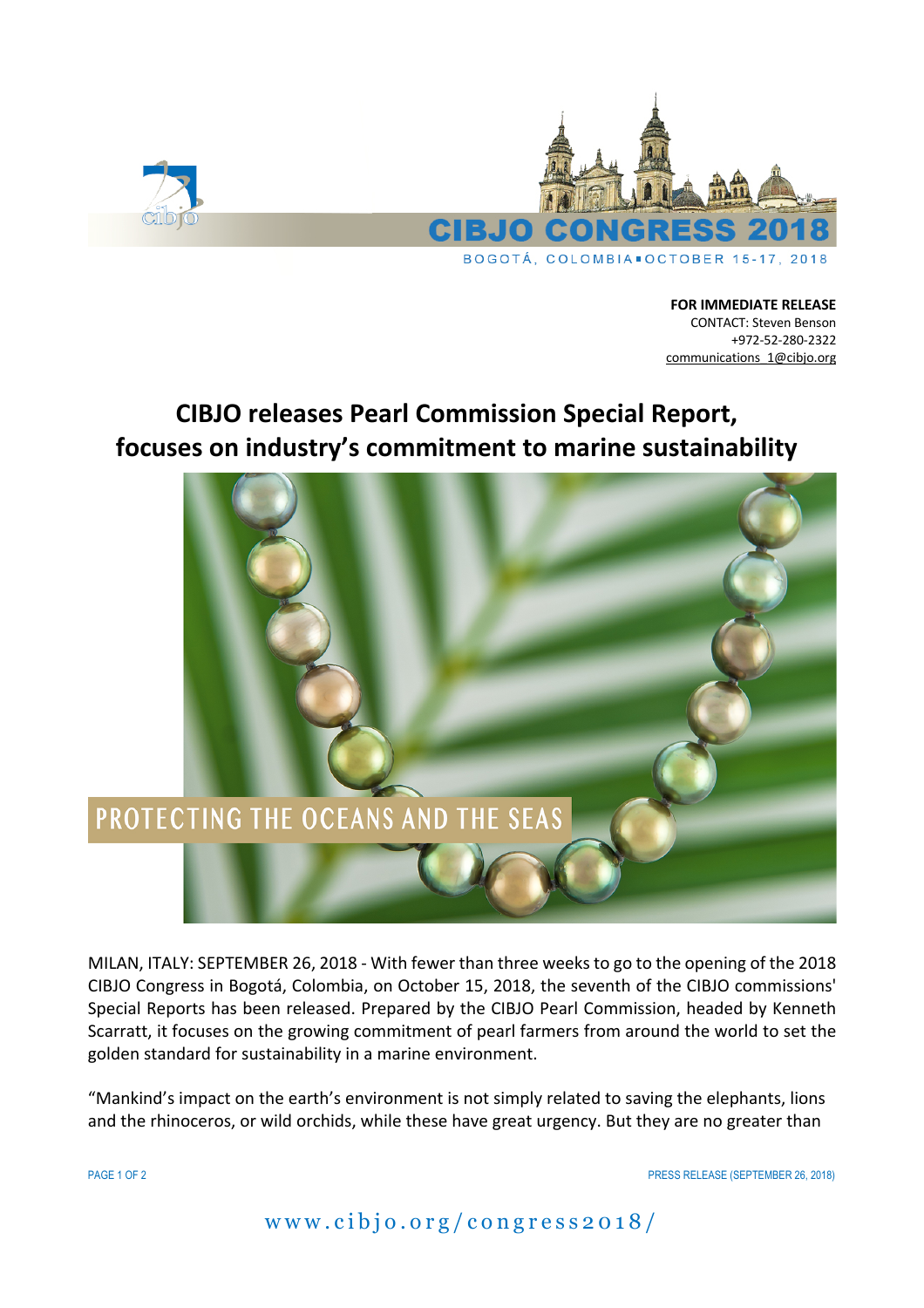

**FOR IMMEDIATE RELEASE** CONTACT: Steven Benson +972-52-280-2322 communications\_1@cibjo.org

## **CIBJO releases Pearl Commission Special Report, focuses on industry's commitment to marine sustainability**



MILAN, ITALY: SEPTEMBER 26, 2018 - With fewer than three weeks to go to the opening of the 2018 CIBJO Congress in Bogotá, Colombia, on October 15, 2018, the seventh of the CIBJO commissions' Special Reports has been released. Prepared by the CIBJO Pearl Commission, headed by Kenneth Scarratt, it focuses on the growing commitment of pearl farmers from around the world to set the golden standard for sustainability in a marine environment.

"Mankind's impact on the earth's environment is not simply related to saving the elephants, lions and the rhinoceros, or wild orchids, while these have great urgency. But they are no greater than

PAGE 1 OF 2 PRESS RELEASE (SEPTEMBER 26, 2018)

www.cibjo.org /congress2018/